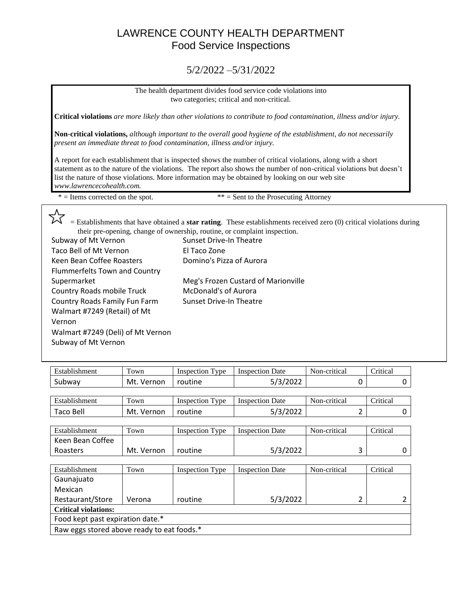## LAWRENCE COUNTY HEALTH DEPARTMENT Food Service Inspections

#### 5/2/2022 –5/31/2022

The health department divides food service code violations into two categories; critical and non-critical.

**Critical violations** *are more likely than other violations to contribute to food contamination, illness and/or injury.*

**Non-critical violations,** *although important to the overall good hygiene of the establishment, do not necessarily present an immediate threat to food contamination, illness and/or injury.*

A report for each establishment that is inspected shows the number of critical violations, along with a short statement as to the nature of the violations. The report also shows the number of non-critical violations but doesn't list the nature of those violations. More information may be obtained by looking on our web site *www.lawrencecohealth.com.*

 $* =$  Items corrected on the spot.  $* =$  Sent to the Prosecuting Attorney

 $\sim$  = Establishments that have obtained a **star rating**. These establishments received zero (0) critical violations during their pre-opening, change of ownership, routine, or complaint inspection.

| Subway of Mt Vernon                  | Sunset Drive-In Theatre             |
|--------------------------------------|-------------------------------------|
| Taco Bell of Mt Vernon               | El Taco Zone                        |
| Keen Bean Coffee Roasters            | Domino's Pizza of Aurora            |
| <b>Flummerfelts Town and Country</b> |                                     |
| Supermarket                          | Meg's Frozen Custard of Marionville |
| Country Roads mobile Truck           | <b>McDonald's of Aurora</b>         |
| Country Roads Family Fun Farm        | Sunset Drive-In Theatre             |
| Walmart #7249 (Retail) of Mt         |                                     |
| Vernon                               |                                     |
| Walmart #7249 (Deli) of Mt Vernon    |                                     |
| Subway of Mt Vernon                  |                                     |

| Establishment                    | Town       | <b>Inspection Type</b> | <b>Inspection Date</b> | Non-critical |   | Critical |   |
|----------------------------------|------------|------------------------|------------------------|--------------|---|----------|---|
| Subway                           | Mt. Vernon | routine                | 5/3/2022               |              | 0 |          | 0 |
|                                  |            |                        |                        |              |   |          |   |
| Establishment                    | Town       | <b>Inspection Type</b> | <b>Inspection Date</b> | Non-critical |   | Critical |   |
| Taco Bell                        | Mt. Vernon | routine                | 5/3/2022               |              | 2 |          | 0 |
|                                  |            |                        |                        |              |   |          |   |
| Establishment                    | Town       | <b>Inspection Type</b> | <b>Inspection Date</b> | Non-critical |   | Critical |   |
| Keen Bean Coffee                 |            |                        |                        |              |   |          |   |
| Roasters                         | Mt. Vernon | routine                | 5/3/2022               |              | 3 |          | 0 |
|                                  |            |                        |                        |              |   |          |   |
| Establishment                    | Town       | <b>Inspection Type</b> | <b>Inspection Date</b> | Non-critical |   | Critical |   |
| Gaunajuato                       |            |                        |                        |              |   |          |   |
| Mexican                          |            |                        |                        |              |   |          |   |
| Restaurant/Store                 | Verona     | routine                | 5/3/2022               |              | 2 |          | 2 |
| <b>Critical violations:</b>      |            |                        |                        |              |   |          |   |
| Food kept past expiration date.* |            |                        |                        |              |   |          |   |

Raw eggs stored above ready to eat foods.\*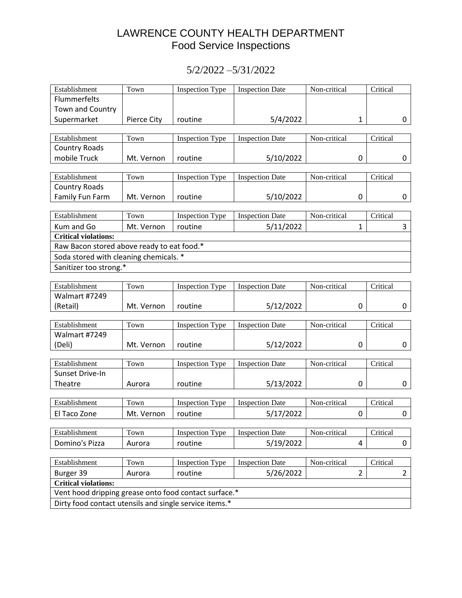# LAWRENCE COUNTY HEALTH DEPARTMENT Food Service Inspections

### 5/2/2022 –5/31/2022

| Establishment                                          | Town               | <b>Inspection Type</b> | <b>Inspection Date</b> | Non-critical   | Critical |                |
|--------------------------------------------------------|--------------------|------------------------|------------------------|----------------|----------|----------------|
| Flummerfelts                                           |                    |                        |                        |                |          |                |
| Town and Country                                       |                    |                        |                        |                |          |                |
| Supermarket                                            | <b>Pierce City</b> | routine                | 5/4/2022               | 1              |          | 0              |
|                                                        |                    |                        |                        |                |          |                |
| Establishment                                          | Town               | <b>Inspection Type</b> | <b>Inspection Date</b> | Non-critical   | Critical |                |
| <b>Country Roads</b>                                   |                    |                        |                        |                |          |                |
| mobile Truck                                           | Mt. Vernon         | routine                | 5/10/2022              | 0              |          | 0              |
|                                                        |                    |                        |                        |                |          |                |
| Establishment                                          | Town               | <b>Inspection Type</b> | <b>Inspection Date</b> | Non-critical   | Critical |                |
| <b>Country Roads</b>                                   |                    |                        |                        |                |          |                |
| Family Fun Farm                                        | Mt. Vernon         | routine                | 5/10/2022              | 0              |          | 0              |
| Establishment                                          | Town               | <b>Inspection Type</b> | <b>Inspection Date</b> | Non-critical   | Critical |                |
| Kum and Go                                             | Mt. Vernon         | routine                | 5/11/2022              | $\mathbf{1}$   |          | 3              |
| <b>Critical violations:</b>                            |                    |                        |                        |                |          |                |
| Raw Bacon stored above ready to eat food.*             |                    |                        |                        |                |          |                |
| Soda stored with cleaning chemicals. *                 |                    |                        |                        |                |          |                |
| Sanitizer too strong.*                                 |                    |                        |                        |                |          |                |
|                                                        |                    |                        |                        |                |          |                |
| Establishment                                          | Town               | <b>Inspection Type</b> | <b>Inspection Date</b> | Non-critical   | Critical |                |
| Walmart #7249                                          |                    |                        |                        |                |          |                |
| (Retail)                                               | Mt. Vernon         | routine                | 5/12/2022              | 0              |          | 0              |
|                                                        |                    |                        |                        |                |          |                |
| Establishment                                          | Town               | <b>Inspection Type</b> | <b>Inspection Date</b> | Non-critical   | Critical |                |
| Walmart #7249                                          |                    |                        |                        |                |          |                |
| (Deli)                                                 | Mt. Vernon         | routine                | 5/12/2022              | 0              |          | 0              |
|                                                        |                    |                        |                        |                |          |                |
| Establishment                                          | Town               | <b>Inspection Type</b> | <b>Inspection Date</b> | Non-critical   | Critical |                |
| Sunset Drive-In                                        |                    |                        |                        |                |          |                |
| Theatre                                                | Aurora             | routine                | 5/13/2022              | 0              |          | 0              |
| Establishment                                          | Town               | <b>Inspection Type</b> | <b>Inspection Date</b> | Non-critical   | Critical |                |
|                                                        |                    |                        |                        |                |          |                |
| El Taco Zone                                           | Mt. Vernon         | routine                | 5/17/2022              | 0              |          | 0              |
| Establishment                                          | Town               | <b>Inspection Type</b> | <b>Inspection Date</b> | Non-critical   | Critical |                |
| Domino's Pizza                                         | Aurora             | routine                | 5/19/2022              | 4              |          | 0              |
|                                                        |                    |                        |                        |                |          |                |
| Establishment                                          | Town               | <b>Inspection Type</b> | <b>Inspection Date</b> | Non-critical   | Critical |                |
| Burger 39                                              | Aurora             | routine                | 5/26/2022              | $\overline{2}$ |          | $\overline{2}$ |
| <b>Critical violations:</b>                            |                    |                        |                        |                |          |                |
| Vent hood dripping grease onto food contact surface.*  |                    |                        |                        |                |          |                |
| Dirty food contact utensils and single service items.* |                    |                        |                        |                |          |                |
|                                                        |                    |                        |                        |                |          |                |